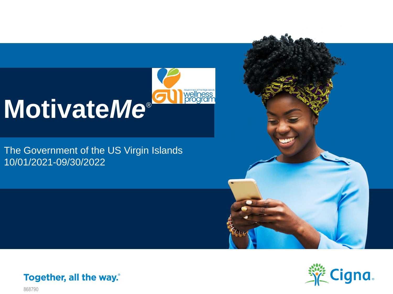

The Government of the US Virgin Islands 10/01/2021-09/30/2022





Together, all the way.

868790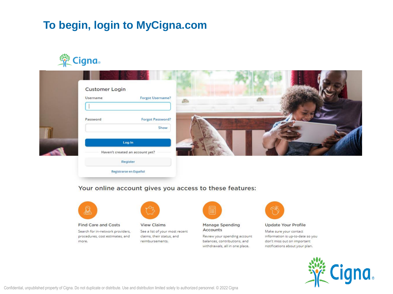## To begin, login to MyCigna.com



|  | <b>Customer Login</b><br><b>Forgot Username?</b><br>Username |  |  |
|--|--------------------------------------------------------------|--|--|
|  | <b>Forgot Password?</b><br>Password<br>Show                  |  |  |
|  | Log In<br>Haven't created an account yet?                    |  |  |
|  | Register<br>Registrarse en Español                           |  |  |

#### Your online account gives you access to these features:



#### **Find Care and Costs**

Search for in-network providers, procedures, cost estimates, and more.



**View Claims** See a list of your most recent claims, their status, and reimbursements.



**Manage Spending** Accounts

Review your spending account balances, contributions, and withdrawals, all in one place.



**Update Your Profile** 

Make sure your contact information is up-to-date so you don't miss out on important notifications about your plan.

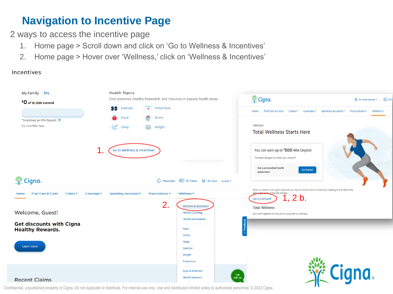## **Navigation to Incentive Page**

2 ways to access the incentive page

- 1. Home page > Scroll down and click on 'Go to Wellness & Incentives'
- 2. Home page > Hover over 'Wellness,' click on 'Wellness & Incentives'

**Incentives** 



Confidential, unpublished property of Cigna. Do not duplicate or distribute. For internal use only. Use and distribution limited solely to authorized personnel. © 2022 Cigna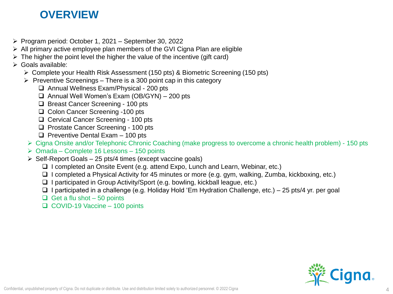#### **OVERVIEW**

- $\triangleright$  Program period: October 1, 2021 September 30, 2022
- $\triangleright$  All primary active employee plan members of the GVI Cigna Plan are eligible
- $\triangleright$  The higher the point level the higher the value of the incentive (gift card)
- Goals available:
	- Complete your Health Risk Assessment (150 pts) & Biometric Screening (150 pts)
	- $\triangleright$  Preventive Screenings There is a 300 point cap in this category
		- □ Annual Wellness Exam/Physical 200 pts
		- $\Box$  Annual Well Women's Exam (OB/GYN) 200 pts
		- □ Breast Cancer Screening 100 pts
		- □ Colon Cancer Screening -100 pts
		- □ Cervical Cancer Screening 100 pts
		- **Prostate Cancer Screening 100 pts**
		- $\Box$  Preventive Dental Exam 100 pts
		- Cigna Onsite and/or Telephonic Chronic Coaching (make progress to overcome a chronic health problem) 150 pts
		- $\triangleright$  Omada Complete 16 Lessons 150 points
		- $\triangleright$  Self-Report Goals 25 pts/4 times (except vaccine goals)
			- $\Box$  I completed an Onsite Event (e.g. attend Expo, Lunch and Learn, Webinar, etc.)
			- $\Box$  I completed a Physical Activity for 45 minutes or more (e.g. gym, walking, Zumba, kickboxing, etc.)
			- $\Box$  I participated in Group Activity/Sport (e.g. bowling, kickball league, etc.)
			- $\Box$  I participated in a challenge (e.g. Holiday Hold 'Em Hydration Challenge, etc.) 25 pts/4 yr. per goal
			- $\Box$  Get a flu shot 50 points
			- $\Box$  COVID-19 Vaccine 100 points

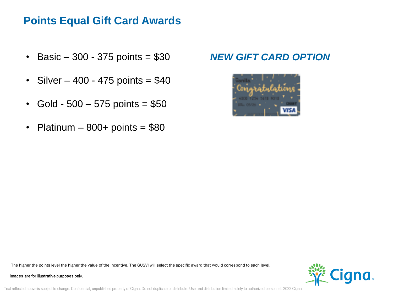#### **Points Equal Gift Card Awards**

- Basic  $-300 375$  points = \$30
- $Silver 400 475 points = $40$
- Gold 500  $-$  575 points = \$50
- Platinum  $800+$  points =  $$80$

#### *NEW GIFT CARD OPTION*



The higher the points level the higher the value of the incentive. The GUSVI will select the specific award that would correspond to each level.

Images are for illustrative purposes only.



Text reflected above is subject to change. Confidential, unpublished property of Cigna. Do not duplicate or distribute. Use and distribution limited solely to authorized personnel. 2022 Cigna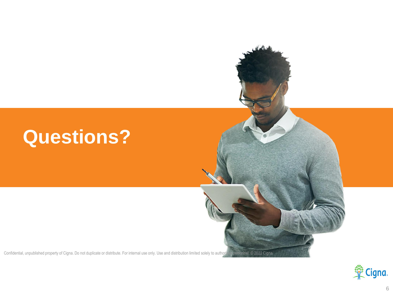# **Questions?**

Confidential, unpublished property of Cigna. Do not duplicate or distribute. For internal use only. Use and distribution limited solely to authorized personnel. © 2022 Cigna